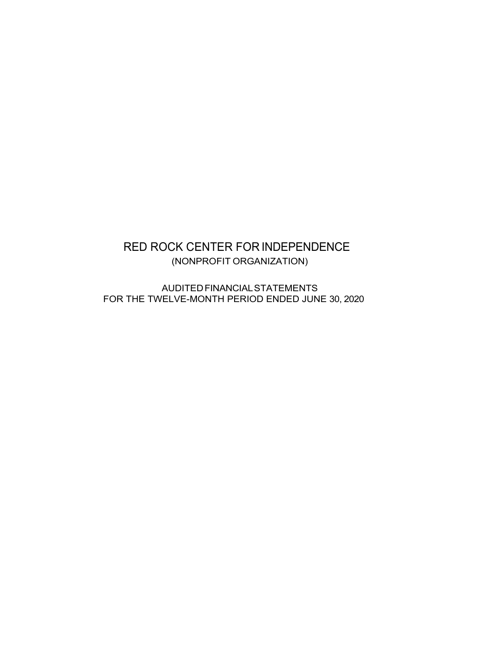# RED ROCK CENTER FOR INDEPENDENCE (NONPROFIT ORGANIZATION)

AUDITED FINANCIAL STATEMENTS FOR THE TWELVE-MONTH PERIOD ENDED JUNE 30, 2020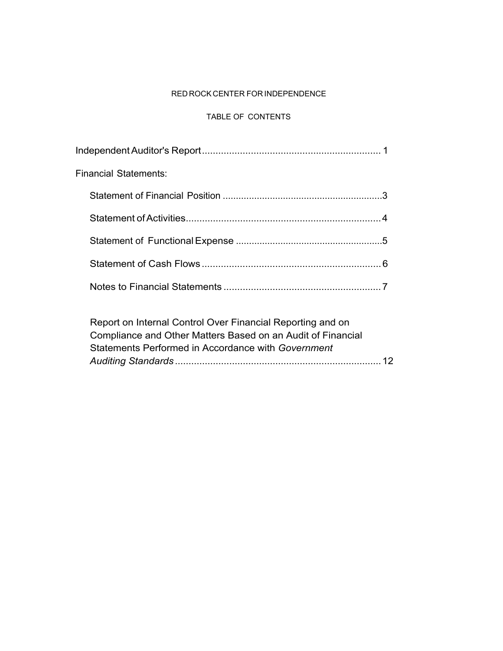#### RED ROCK CENTER FOR INDEPENDENCE

### TABLE OF CONTENTS

| Financial Statements:                                      |  |
|------------------------------------------------------------|--|
|                                                            |  |
|                                                            |  |
|                                                            |  |
|                                                            |  |
|                                                            |  |
|                                                            |  |
| Report on Internal Control Over Financial Reporting and on |  |

| Compliance and Other Matters Based on an Audit of Financial |  |
|-------------------------------------------------------------|--|
| Statements Performed in Accordance with Government          |  |
|                                                             |  |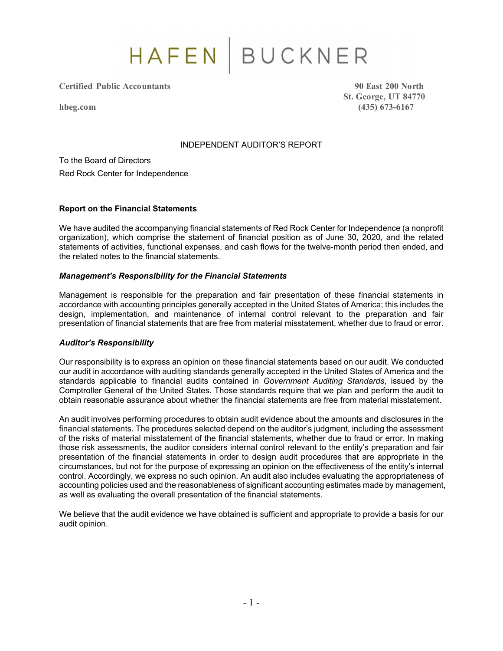# HAFEN BUCKNER

**Certified Public Accountants 90 East 200 North** 

 **St. George, UT 84770 hbeg.com (435) 673-6167** 

#### INDEPENDENT AUDITOR'S REPORT

To the Board of Directors Red Rock Center for Independence

#### **Report on the Financial Statements**

We have audited the accompanying financial statements of Red Rock Center for Independence (a nonprofit organization), which comprise the statement of financial position as of June 30, 2020, and the related statements of activities, functional expenses, and cash flows for the twelve-month period then ended, and the related notes to the financial statements.

#### *Management's Responsibility for the Financial Statements*

Management is responsible for the preparation and fair presentation of these financial statements in accordance with accounting principles generally accepted in the United States of America; this includes the design, implementation, and maintenance of internal control relevant to the preparation and fair presentation of financial statements that are free from material misstatement, whether due to fraud or error.

#### *Auditor's Responsibility*

Our responsibility is to express an opinion on these financial statements based on our audit. We conducted our audit in accordance with auditing standards generally accepted in the United States of America and the standards applicable to financial audits contained in *Government Auditing Standards*, issued by the Comptroller General of the United States. Those standards require that we plan and perform the audit to obtain reasonable assurance about whether the financial statements are free from material misstatement.

An audit involves performing procedures to obtain audit evidence about the amounts and disclosures in the financial statements. The procedures selected depend on the auditor's judgment, including the assessment of the risks of material misstatement of the financial statements, whether due to fraud or error. In making those risk assessments, the auditor considers internal control relevant to the entity's preparation and fair presentation of the financial statements in order to design audit procedures that are appropriate in the circumstances, but not for the purpose of expressing an opinion on the effectiveness of the entity's internal control. Accordingly, we express no such opinion. An audit also includes evaluating the appropriateness of accounting policies used and the reasonableness of significant accounting estimates made by management, as well as evaluating the overall presentation of the financial statements.

We believe that the audit evidence we have obtained is sufficient and appropriate to provide a basis for our audit opinion.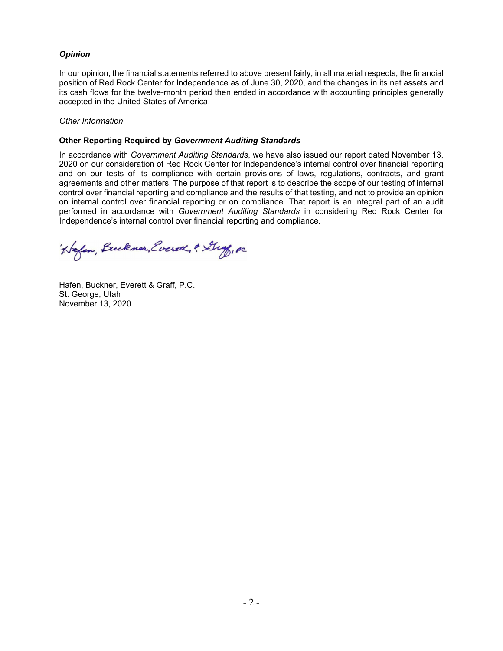#### *Opinion*

In our opinion, the financial statements referred to above present fairly, in all material respects, the financial position of Red Rock Center for Independence as of June 30, 2020, and the changes in its net assets and its cash flows for the twelve-month period then ended in accordance with accounting principles generally accepted in the United States of America.

#### *Other Information*

#### **Other Reporting Required by** *Government Auditing Standards*

In accordance with *Government Auditing Standards*, we have also issued our report dated November 13, 2020 on our consideration of Red Rock Center for Independence's internal control over financial reporting and on our tests of its compliance with certain provisions of laws, regulations, contracts, and grant agreements and other matters. The purpose of that report is to describe the scope of our testing of internal control over financial reporting and compliance and the results of that testing, and not to provide an opinion on internal control over financial reporting or on compliance. That report is an integral part of an audit performed in accordance with *Government Auditing Standards* in considering Red Rock Center for Independence's internal control over financial reporting and compliance.

Hafen, Buckner, Evered, & Graf, AC

Hafen, Buckner, Everett & Graff, P.C. St. George, Utah November 13, 2020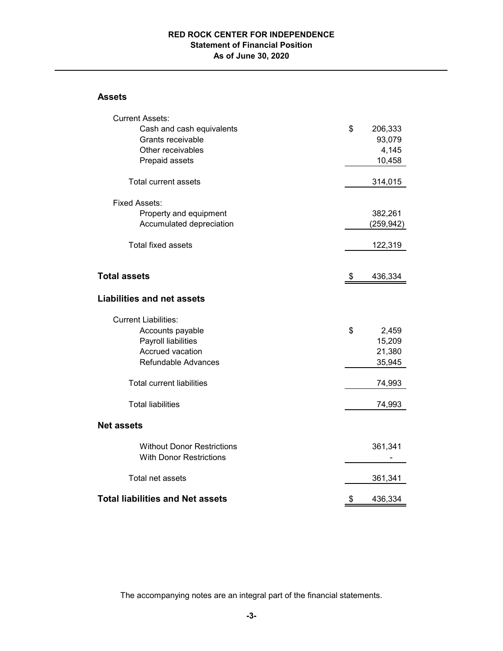### **RED ROCK CENTER FOR INDEPENDENCE Statement of Financial Position As of June 30, 2020**

# **Assets**

| <b>Current Assets:</b>                  |               |
|-----------------------------------------|---------------|
| Cash and cash equivalents               | \$<br>206,333 |
| Grants receivable                       | 93,079        |
| Other receivables                       | 4,145         |
| Prepaid assets                          | 10,458        |
|                                         |               |
| <b>Total current assets</b>             | 314,015       |
| <b>Fixed Assets:</b>                    |               |
| Property and equipment                  | 382,261       |
| Accumulated depreciation                | (259,942)     |
|                                         |               |
| <b>Total fixed assets</b>               | 122,319       |
|                                         |               |
| <b>Total assets</b>                     | \$<br>436,334 |
| <b>Liabilities and net assets</b>       |               |
| <b>Current Liabilities:</b>             |               |
| Accounts payable                        | \$<br>2,459   |
| Payroll liabilities                     | 15,209        |
| Accrued vacation                        | 21,380        |
| Refundable Advances                     | 35,945        |
| <b>Total current liabilities</b>        |               |
|                                         | 74,993        |
| <b>Total liabilities</b>                | 74,993        |
| <b>Net assets</b>                       |               |
|                                         |               |
| <b>Without Donor Restrictions</b>       | 361,341       |
| <b>With Donor Restrictions</b>          |               |
|                                         |               |
| Total net assets                        | 361,341       |
|                                         |               |
| <b>Total liabilities and Net assets</b> | \$<br>436,334 |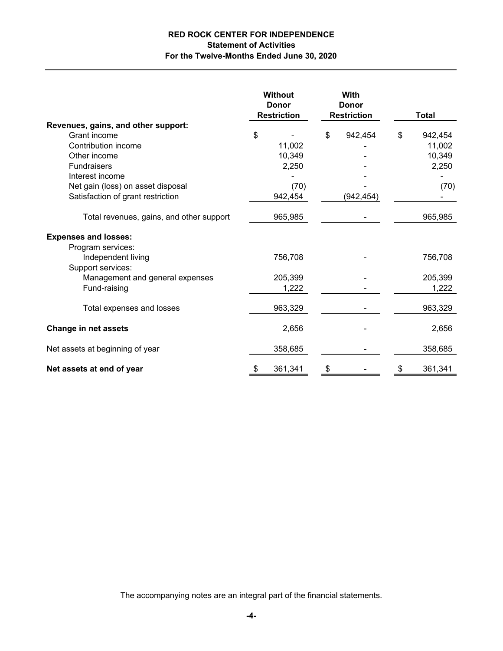## **RED ROCK CENTER FOR INDEPENDENCE Statement of Activities For the Twelve-Months Ended June 30, 2020**

|                                          | Without<br><b>Donor</b><br><b>Restriction</b> |         | <b>With</b><br><b>Donor</b><br><b>Restriction</b> |            | <b>Total</b>  |  |
|------------------------------------------|-----------------------------------------------|---------|---------------------------------------------------|------------|---------------|--|
| Revenues, gains, and other support:      |                                               |         |                                                   |            |               |  |
| Grant income                             | \$                                            |         | \$                                                | 942,454    | \$<br>942,454 |  |
| Contribution income                      |                                               | 11,002  |                                                   |            | 11,002        |  |
| Other income                             |                                               | 10,349  |                                                   |            | 10,349        |  |
| <b>Fundraisers</b>                       |                                               | 2,250   |                                                   |            | 2,250         |  |
| Interest income                          |                                               |         |                                                   |            |               |  |
| Net gain (loss) on asset disposal        |                                               | (70)    |                                                   |            | (70)          |  |
| Satisfaction of grant restriction        |                                               | 942,454 |                                                   | (942, 454) |               |  |
| Total revenues, gains, and other support |                                               | 965,985 |                                                   |            | 965,985       |  |
| <b>Expenses and losses:</b>              |                                               |         |                                                   |            |               |  |
| Program services:                        |                                               |         |                                                   |            |               |  |
| Independent living                       |                                               | 756,708 |                                                   |            | 756,708       |  |
| Support services:                        |                                               |         |                                                   |            |               |  |
| Management and general expenses          |                                               | 205,399 |                                                   |            | 205,399       |  |
| Fund-raising                             |                                               | 1,222   |                                                   |            | 1,222         |  |
| Total expenses and losses                |                                               | 963,329 |                                                   |            | 963,329       |  |
| Change in net assets                     |                                               | 2,656   |                                                   |            | 2,656         |  |
| Net assets at beginning of year          |                                               | 358,685 |                                                   |            | 358,685       |  |
| Net assets at end of year                |                                               | 361,341 | \$                                                |            | \$<br>361,341 |  |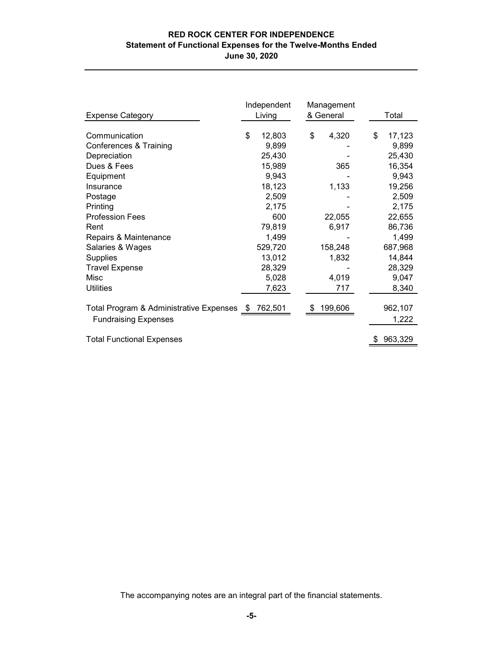#### **RED ROCK CENTER FOR INDEPENDENCE Statement of Functional Expenses for the Twelve-Months Ended June 30, 2020**

| <b>Expense Category</b>                 |    | Independent<br>Living | Management<br>& General | Total                 |  |
|-----------------------------------------|----|-----------------------|-------------------------|-----------------------|--|
| Communication<br>Conferences & Training | \$ | 12,803<br>9,899       | \$<br>4,320             | \$<br>17,123<br>9,899 |  |
| Depreciation                            |    | 25,430                |                         | 25,430                |  |
| Dues & Fees                             |    | 15,989                | 365                     | 16,354                |  |
| Equipment                               |    | 9,943                 |                         | 9,943                 |  |
| Insurance                               |    | 18,123                | 1,133                   | 19,256                |  |
| Postage                                 |    | 2,509                 |                         | 2,509                 |  |
| Printing                                |    | 2,175                 |                         | 2,175                 |  |
| <b>Profession Fees</b>                  |    | 600                   | 22,055                  | 22,655                |  |
| Rent                                    |    | 79,819                | 6,917                   | 86,736                |  |
| Repairs & Maintenance                   |    | 1,499                 |                         | 1,499                 |  |
| Salaries & Wages                        |    | 529,720               | 158,248                 | 687,968               |  |
| <b>Supplies</b>                         |    | 13,012                | 1,832                   | 14,844                |  |
| <b>Travel Expense</b>                   |    | 28,329                |                         | 28,329                |  |
| Misc                                    |    | 5,028                 | 4,019                   | 9,047                 |  |
| <b>Utilities</b>                        |    | 7,623                 | 717                     | 8,340                 |  |
| Total Program & Administrative Expenses | S  | 762,501               | \$<br>199,606           | 962,107               |  |
| <b>Fundraising Expenses</b>             |    |                       |                         | 1,222                 |  |
| <b>Total Functional Expenses</b>        |    |                       |                         | \$<br>963,329         |  |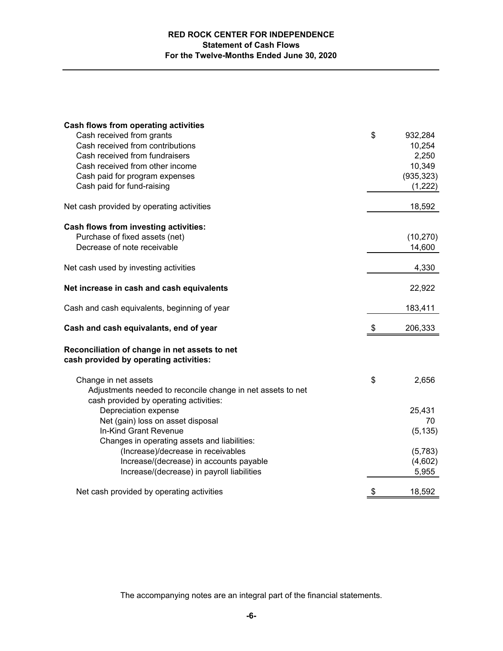### **RED ROCK CENTER FOR INDEPENDENCE Statement of Cash Flows For the Twelve-Months Ended June 30, 2020**

| Cash flows from operating activities                                                    |               |
|-----------------------------------------------------------------------------------------|---------------|
| Cash received from grants                                                               | \$<br>932,284 |
| Cash received from contributions                                                        | 10,254        |
| Cash received from fundraisers                                                          | 2,250         |
| Cash received from other income                                                         | 10,349        |
| Cash paid for program expenses                                                          | (935, 323)    |
| Cash paid for fund-raising                                                              | (1,222)       |
| Net cash provided by operating activities                                               | 18,592        |
| <b>Cash flows from investing activities:</b>                                            |               |
| Purchase of fixed assets (net)                                                          | (10, 270)     |
| Decrease of note receivable                                                             | 14,600        |
| Net cash used by investing activities                                                   | 4,330         |
| Net increase in cash and cash equivalents                                               | 22,922        |
| Cash and cash equivalents, beginning of year                                            | 183,411       |
| Cash and cash equivalants, end of year                                                  | \$<br>206,333 |
| Reconciliation of change in net assets to net<br>cash provided by operating activities: |               |
| Change in net assets                                                                    | \$<br>2,656   |
| Adjustments needed to reconcile change in net assets to net                             |               |
| cash provided by operating activities:                                                  |               |
| Depreciation expense                                                                    | 25,431        |
| Net (gain) loss on asset disposal                                                       | 70            |
| In-Kind Grant Revenue                                                                   | (5, 135)      |
| Changes in operating assets and liabilities:                                            |               |
| (Increase)/decrease in receivables                                                      | (5,783)       |
| Increase/(decrease) in accounts payable                                                 | (4,602)       |
| Increase/(decrease) in payroll liabilities                                              | 5,955         |
| Net cash provided by operating activities                                               | \$<br>18,592  |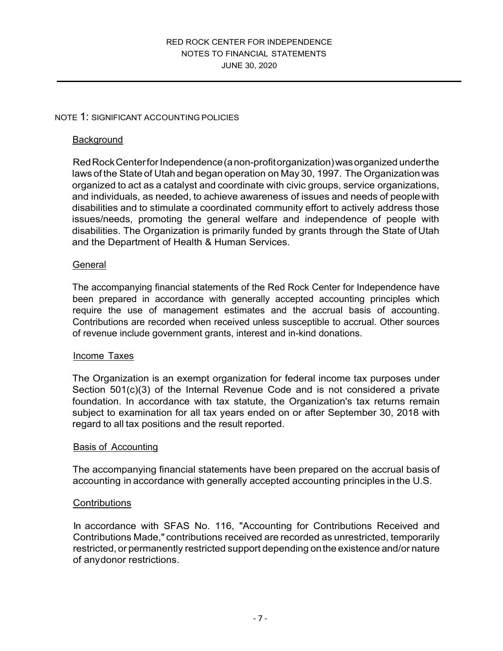# NOTE 1: SIGNIFICANT ACCOUNTING POLICIES

# **Background**

 $\overline{a}$ 

Red Rock Center for Independence (a non-profit organization) was organized under the laws of the State of Utah and began operation on May 30, 1997. The Organization was organized to act as a catalyst and coordinate with civic groups, service organizations, and individuals, as needed, to achieve awareness of issues and needs of people with disabilities and to stimulate a coordinated community effort to actively address those issues/needs, promoting the general welfare and independence of people with disabilities. The Organization is primarily funded by grants through the State of Utah and the Department of Health & Human Services.

# General

The accompanying financial statements of the Red Rock Center for Independence have been prepared in accordance with generally accepted accounting principles which require the use of management estimates and the accrual basis of accounting. Contributions are recorded when received unless susceptible to accrual. Other sources of revenue include government grants, interest and in-kind donations.

# Income Taxes

The Organization is an exempt organization for federal income tax purposes under Section 501(c)(3) of the Internal Revenue Code and is not considered a private foundation. In accordance with tax statute, the Organization's tax returns remain subject to examination for all tax years ended on or after September 30, 2018 with regard to all tax positions and the result reported.

# Basis of Accounting

The accompanying financial statements have been prepared on the accrual basis of accounting in accordance with generally accepted accounting principles in the U.S.

# **Contributions**

In accordance with SFAS No. 116, "Accounting for Contributions Received and Contributions Made," contributions received are recorded as unrestricted, temporarily restricted, or permanently restricted support depending on the existence and/or nature of any donor restrictions.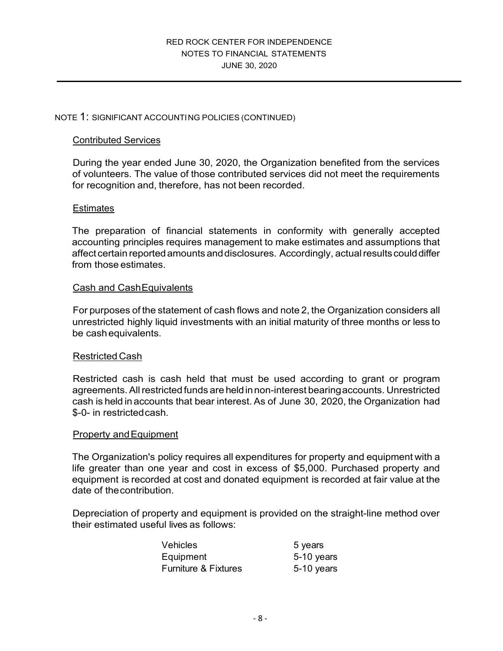# NOTE 1: SIGNIFICANT ACCOUNTING POLICIES (CONTINUED)

### Contributed Services

During the year ended June 30, 2020, the Organization benefited from the services of volunteers. The value of those contributed services did not meet the requirements for recognition and, therefore, has not been recorded.

### **Estimates**

 $\overline{a}$ 

The preparation of financial statements in conformity with generally accepted accounting principles requires management to make estimates and assumptions that affect certain reported amounts and disclosures. Accordingly, actual results could differ from those estimates.

### Cash and Cash Equivalents

For purposes of the statement of cash flows and note 2, the Organization considers all unrestricted highly liquid investments with an initial maturity of three months or less to be cash equivalents.

#### Restricted Cash

Restricted cash is cash held that must be used according to grant or program agreements. All restricted funds are held in non-interest bearing accounts. Unrestricted cash is held in accounts that bear interest. As of June 30, 2020, the Organization had \$-0- in restricted cash.

#### Property and Equipment

The Organization's policy requires all expenditures for property and equipment with a life greater than one year and cost in excess of \$5,000. Purchased property and equipment is recorded at cost and donated equipment is recorded at fair value at the date of the contribution.

Depreciation of property and equipment is provided on the straight-line method over their estimated useful lives as follows:

| <b>Vehicles</b>                 | 5 years      |
|---------------------------------|--------------|
| Equipment                       | $5-10$ years |
| <b>Furniture &amp; Fixtures</b> | $5-10$ years |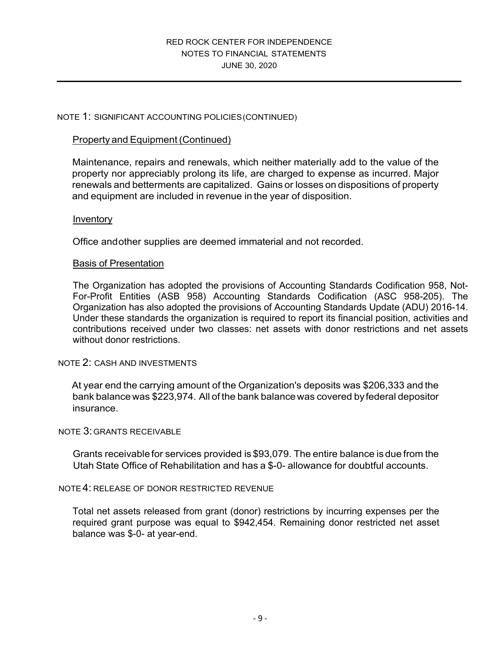# RED ROCK CENTER FOR INDEPENDENCE NOTES TO FINANCIAL STATEMENTS JUNE 30, 2020

# NOTE 1: SIGNIFICANT ACCOUNTING POLICIES (CONTINUED)

# Property and Equipment (Continued)

Maintenance, repairs and renewals, which neither materially add to the value of the property nor appreciably prolong its life, are charged to expense as incurred. Major renewals and betterments are capitalized. Gains or losses on dispositions of property and equipment are included in revenue in the year of disposition.

### Inventory

 $\overline{a}$ 

Office and other supplies are deemed immaterial and not recorded.

### Basis of Presentation

The Organization has adopted the provisions of Accounting Standards Codification 958, Not-For-Profit Entities (ASB 958) Accounting Standards Codification (ASC 958-205). The Organization has also adopted the provisions of Accounting Standards Update (ADU) 2016-14. Under these standards the organization is required to report its financial position, activities and contributions received under two classes: net assets with donor restrictions and net assets without donor restrictions.

# NOTE 2: CASH AND INVESTMENTS

At year end the carrying amount of the Organization's deposits was \$206,333 and the bank balance was \$223,974. All of the bank balance was covered by federal depositor insurance.

# NOTE 3: GRANTS RECEIVABLE

Grants receivable for services provided is \$93,079. The entire balance is due from the Utah State Office of Rehabilitation and has a \$-0- allowance for doubtful accounts.

#### NOTE 4: RELEASE OF DONOR RESTRICTED REVENUE

Total net assets released from grant (donor) restrictions by incurring expenses per the required grant purpose was equal to \$942,454. Remaining donor restricted net asset balance was \$-0- at year-end.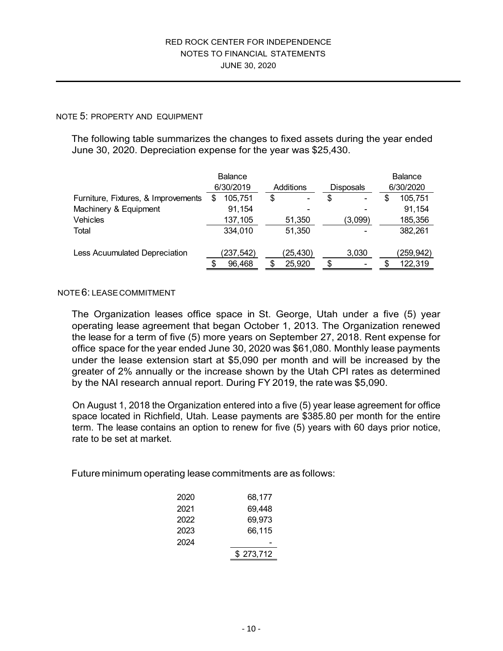#### NOTE 5: PROPERTY AND EQUIPMENT

l

The following table summarizes the changes to fixed assets during the year ended June 30, 2020. Depreciation expense for the year was \$25,430.

|                                     |              | <b>Balance</b><br>6/30/2019 | Additions |           | <b>Disposals</b> |         | <b>Balance</b><br>6/30/2020 |           |
|-------------------------------------|--------------|-----------------------------|-----------|-----------|------------------|---------|-----------------------------|-----------|
| Furniture, Fixtures, & Improvements | 105,751<br>S |                             | \$        |           | \$               | -       | J                           | 105,751   |
| Machinery & Equipment               |              | 91,154                      |           |           |                  |         |                             | 91,154    |
| <b>Vehicles</b>                     |              | 137,105                     |           | 51,350    |                  | (3,099) |                             | 185,356   |
| Total                               |              | 334,010                     |           | 51,350    |                  |         |                             | 382,261   |
| Less Acuumulated Depreciation       |              | (237, 542)                  |           | (25, 430) |                  | 3,030   |                             | (259,942) |
|                                     |              | 96,468                      |           | 25,920    |                  |         |                             | 122,319   |

### NOTE 6: LEASE COMMITMENT

The Organization leases office space in St. George, Utah under a five (5) year operating lease agreement that began October 1, 2013. The Organization renewed the lease for a term of five (5) more years on September 27, 2018. Rent expense for office space for the year ended June 30, 2020 was \$61,080. Monthly lease payments under the lease extension start at \$5,090 per month and will be increased by the greater of 2% annually or the increase shown by the Utah CPI rates as determined by the NAI research annual report. During FY 2019, the rate was \$5,090.

On August 1, 2018 the Organization entered into a five (5) year lease agreement for office space located in Richfield, Utah. Lease payments are \$385.80 per month for the entire term. The lease contains an option to renew for five (5) years with 60 days prior notice, rate to be set at market.

Future minimum operating lease commitments are as follows:

| 2020 | 68,177    |
|------|-----------|
| 2021 | 69.448    |
| 2022 | 69,973    |
| 2023 | 66,115    |
| 2024 |           |
|      | \$273,712 |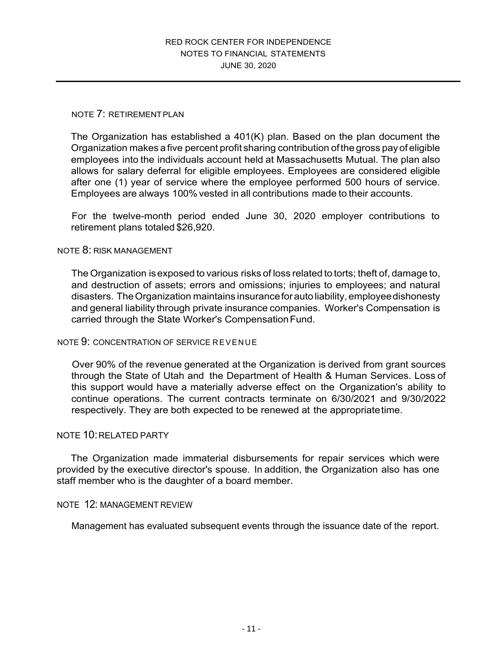## NOTE 7: RETIREMENT PLAN

l

The Organization has established a 401(K) plan. Based on the plan document the Organization makes a five percent profit sharing contribution of the gross pay of eligible employees into the individuals account held at Massachusetts Mutual. The plan also allows for salary deferral for eligible employees. Employees are considered eligible after one (1) year of service where the employee performed 500 hours of service. Employees are always 100% vested in all contributions made to their accounts.

For the twelve-month period ended June 30, 2020 employer contributions to retirement plans totaled \$26,920.

# NOTE 8: RISK MANAGEMENT

The Organization is exposed to various risks of loss related to torts; theft of, damage to, and destruction of assets; errors and omissions; injuries to employees; and natural disasters. The Organization maintains insurance for auto liability, employee dishonesty and general liability through private insurance companies. Worker's Compensation is carried through the State Worker's Compensation Fund.

# NOTE 9: CONCENTRATION OF SERVICE REVENUE

Over 90% of the revenue generated at the Organization is derived from grant sources through the State of Utah and the Department of Health & Human Services. Loss of this support would have a materially adverse effect on the Organization's ability to continue operations. The current contracts terminate on 6/30/2021 and 9/30/2022 respectively. They are both expected to be renewed at the appropriate time.

#### NOTE 10: RELATED PARTY

The Organization made immaterial disbursements for repair services which were provided by the executive director's spouse. In addition, the Organization also has one staff member who is the daughter of a board member.

#### NOTE 12: MANAGEMENT REVIEW

Management has evaluated subsequent events through the issuance date of the report.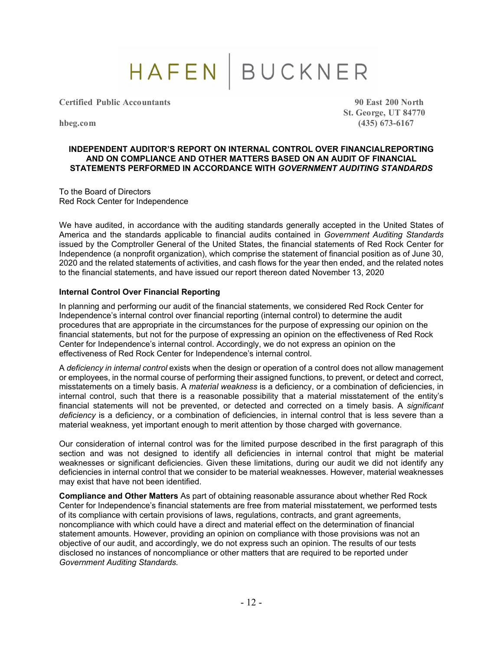# HAFEN BUCKNER

**Certified Public Accountants 90 East 200 North** 

 **St. George, UT 84770 hbeg.com (435) 673-6167** 

#### **INDEPENDENT AUDITOR'S REPORT ON INTERNAL CONTROL OVER FINANCIALREPORTING AND ON COMPLIANCE AND OTHER MATTERS BASED ON AN AUDIT OF FINANCIAL STATEMENTS PERFORMED IN ACCORDANCE WITH** *GOVERNMENT AUDITING STANDARDS*

To the Board of Directors Red Rock Center for Independence

We have audited, in accordance with the auditing standards generally accepted in the United States of America and the standards applicable to financial audits contained in *Government Auditing Standards* issued by the Comptroller General of the United States, the financial statements of Red Rock Center for Independence (a nonprofit organization), which comprise the statement of financial position as of June 30, 2020 and the related statements of activities, and cash flows for the year then ended, and the related notes to the financial statements, and have issued our report thereon dated November 13, 2020

#### **Internal Control Over Financial Reporting**

In planning and performing our audit of the financial statements, we considered Red Rock Center for Independence's internal control over financial reporting (internal control) to determine the audit procedures that are appropriate in the circumstances for the purpose of expressing our opinion on the financial statements, but not for the purpose of expressing an opinion on the effectiveness of Red Rock Center for Independence's internal control. Accordingly, we do not express an opinion on the effectiveness of Red Rock Center for Independence's internal control.

A *deficiency in internal control* exists when the design or operation of a control does not allow management or employees, in the normal course of performing their assigned functions, to prevent, or detect and correct, misstatements on a timely basis. A *material weakness* is a deficiency, or a combination of deficiencies, in internal control, such that there is a reasonable possibility that a material misstatement of the entity's financial statements will not be prevented, or detected and corrected on a timely basis. A *significant deficiency* is a deficiency, or a combination of deficiencies, in internal control that is less severe than a material weakness, yet important enough to merit attention by those charged with governance.

Our consideration of internal control was for the limited purpose described in the first paragraph of this section and was not designed to identify all deficiencies in internal control that might be material weaknesses or significant deficiencies. Given these limitations, during our audit we did not identify any deficiencies in internal control that we consider to be material weaknesses. However, material weaknesses may exist that have not been identified.

**Compliance and Other Matters** As part of obtaining reasonable assurance about whether Red Rock Center for Independence's financial statements are free from material misstatement, we performed tests of its compliance with certain provisions of laws, regulations, contracts, and grant agreements, noncompliance with which could have a direct and material effect on the determination of financial statement amounts. However, providing an opinion on compliance with those provisions was not an objective of our audit, and accordingly, we do not express such an opinion. The results of our tests disclosed no instances of noncompliance or other matters that are required to be reported under *Government Auditing Standards.*